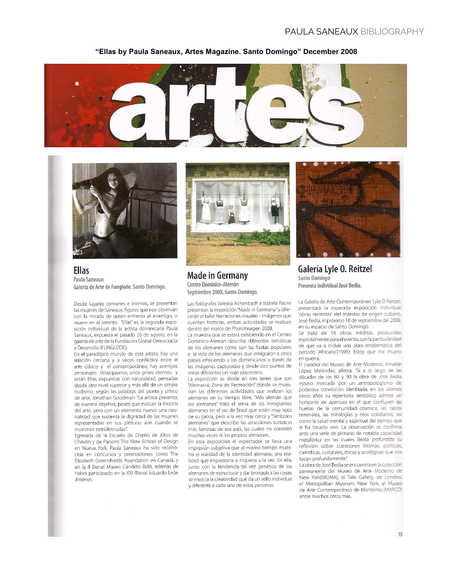## **PAULA SANEAUX BIBLIOGRAPHY**

#### "Ellas by Paula Saneaux, Artes Magazine. Santo Domingo" December 2008





**Ellas** Paula Saneaux Galería de Arte de Funglode. Santo Domingo.

Desde lugares comunes e íntimos, se presentan las mujeres de Saneaux, figuras que nos observan con la mirada de quien enfrenta al enemigo, o muere en el intento. "Ellas" es la segunda exposición individual de la artista dominicana Paula Saneaux, expuesta el pasado 20 de agosto, en la galería de arte de la Fundación Global Democracia y Desarrollo (FUNGLODE).

En el paradójico mundo de esta artista, hay una relación cercana y a veces conflictiva entre el arte clásico y el contemporáneo, hay acertijos, personajes Velazquianos, unos grises eternos, y están Ellas, expuestas con naturalidad, pensadas desde otro nivel superior y más allá de un simple nudismo, según las palabras del poeta y crítico de arte, Jonathan Goodman: "La artista presenta, de manera objetiva, poses que evocan la historia del arte, pero con un elemento nuevo: una neutralidad que sustenta la dignidad de las mujeres representadas en sus pinturas aún cuando se muestran semidesnudas".

Egresada de la Escuela de Diseño de Altos de Chavón y de Parsons The New School of Design en Nueva York, Paula Saneaux ha sido reconocida en concursos y premiaciones como The Elizabeth Greenshields Foundation en Canadá, y en la II Bienal Museo Cándido Bidó, además de haber participado en la XXI Bienal Eduardo León Jimenes.



**Made in Germany** Centro Domínico-Alemán Septiembre 2008, Santo Domingo.

Las fotógrafas Valeska Achenbach e Isabela Pacini presentan la exposición "Made in Germany" y ofrecerán el taller Narraciones visuales - imágenes que cuentan historias, ambas actividades se realizan dentro del marco de PhotoImagen 2008.

La muestra que se estará exhibiendo en el Centro Domínico-Alemán describe diferentes temáticas de los alemanes como son las fiestas populares y la vida de los alemanes que emigraron a otros países ofreciendo a los dominicanos a través de las imágenes capturadas y desde dos puntos de vistas diferentes un viale placentero.

La exposición se divide en tres series que son "Alemania: Zona de Recreación" donde se muestran las diferentes actividades que realizan los alemanes en su tiempo libre; "Más alemán que los alemanes" trata el tema de los inmigrantes alemanes en el sur de Brasil que están muy lejos de su patria, pero a la vez muy cerca y "Símbolos alemanes" que describe las atracciones turísticas más famosas de ese país, las cuales no conocen muchas veces ni los propios alemanes.

En esta exposición el espectador se lleva una impresión subietiva que al mismo tiempo muestra la realidad de la identidad alemana; una realidad que impresiona e inquieta a la vez. En ella, junto con la tendencia tal vez genética de los alemanes de estructurar y dar jerarquía a las cosas, se mezcla la creatividad que da un sello individual y diferente a cada una de estas personas.



Galería Lyle O. Reitzel Santo Domingo Presenta individual José Bedia.

La Galería de Arte Contemporáneo Lyle O Reitzel. presentará la esperada exposición individual 'obras recientes' del maestro de origen cubano. José Bedia, el próximo 18 de septiembre del 2008. en su espacio de Santo Domingo.

Se trata de 18 obras inéditas, producidas especialmente para el evento, con la particularidad de que va a incluir una obra emblemática del periodo 'Africano'(1995): Estoy que me muero en querra.

El curador del Museo de Arte Moderno, Amabile López Meléndez, afirma: "Si a lo largo de las décadas de los 80 y 90 la obra de José Bedia estuvo marcada por un antropologismo de poderosa convicción identitaria, en los últimos cinco años su repertorio simbólico admite un horizonte de apertura en el que confluyen las huellas de la comunidad cósmica, las raíces terrenales, las mitologías y ritos cotidianos, así como la salud mental y espiritual del tiempo que le ha tocado vivir. La observación se confirma ante una serie de pinturas de notable capacidad metafórica en las cuales Bedia profundiza su reflexión sobre cuestiones íntimas, políticas, científicas, culturales, éticas y ecológicas que nos tocan profundamente."

La obra de José Bedia se encuentra en la colección permanente del Museo de Arte Moderno de New York(MOMA), el Tate Gallery, de Londres, el Metropolitan Museum, New York, el Museo de Arte Contemporáneo de Monterrey,(MARCO) entre muchos otros más.